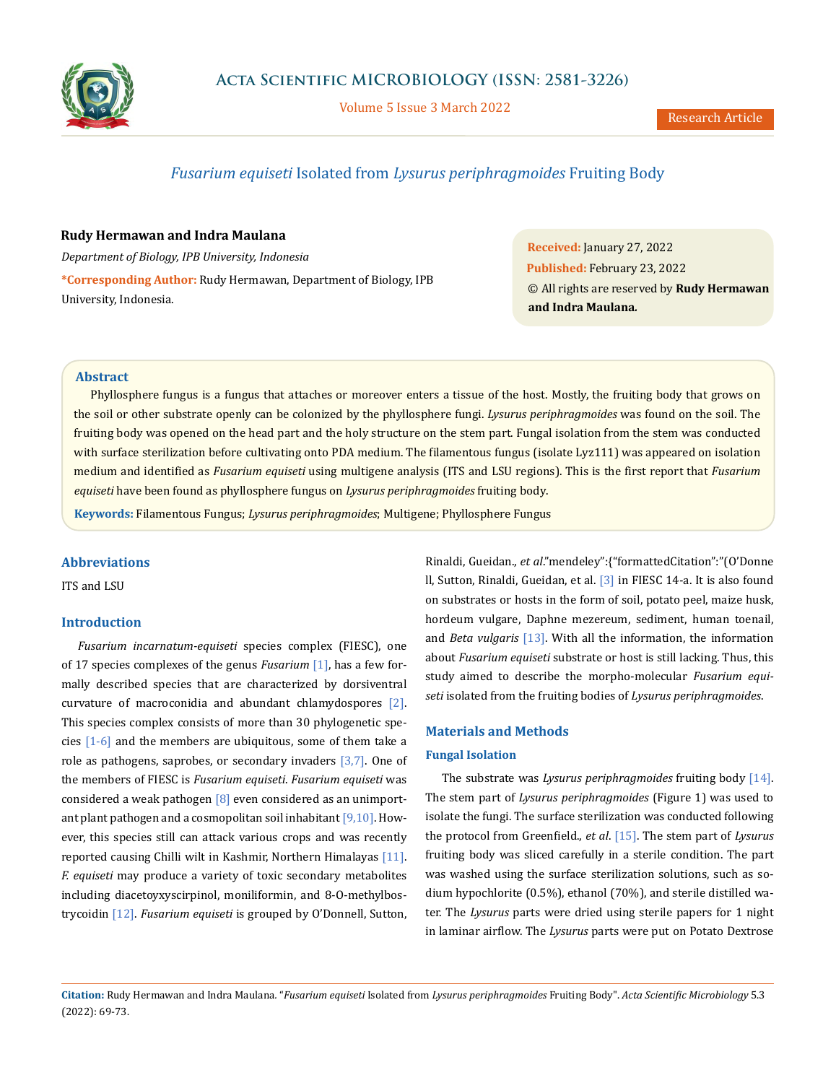

Volume 5 Issue 3 March 2022

# *Fusarium equiseti* Isolated from *Lysurus periphragmoides* Fruiting Body

## **Rudy Hermawan and Indra Maulana**

*Department of Biology, IPB University, Indonesia* **\*Corresponding Author:** Rudy Hermawan, Department of Biology, IPB University, Indonesia.

**Received:** January 27, 2022 **Published:** February 23, 2022 © All rights are reserved by **Rudy Hermawan and Indra Maulana***.*

# **Abstract**

Phyllosphere fungus is a fungus that attaches or moreover enters a tissue of the host. Mostly, the fruiting body that grows on the soil or other substrate openly can be colonized by the phyllosphere fungi. *Lysurus periphragmoides* was found on the soil. The fruiting body was opened on the head part and the holy structure on the stem part. Fungal isolation from the stem was conducted with surface sterilization before cultivating onto PDA medium. The filamentous fungus (isolate Lyz111) was appeared on isolation medium and identified as *Fusarium equiseti* using multigene analysis (ITS and LSU regions). This is the first report that *Fusarium equiseti* have been found as phyllosphere fungus on *Lysurus periphragmoides* fruiting body.

**Keywords:** Filamentous Fungus; *Lysurus periphragmoides*; Multigene; Phyllosphere Fungus

### **Abbreviations**

ITS and LSU

#### **Introduction**

*Fusarium incarnatum-equiseti* species complex (FIESC), one of 17 species complexes of the genus *Fusarium* [1], has a few formally described species that are characterized by dorsiventral curvature of macroconidia and abundant chlamydospores [2]. This species complex consists of more than 30 phylogenetic species  $[1-6]$  and the members are ubiquitous, some of them take a role as pathogens, saprobes, or secondary invaders [3,7]. One of the members of FIESC is *Fusarium equiseti*. *Fusarium equiseti* was considered a weak pathogen  $[8]$  even considered as an unimportant plant pathogen and a cosmopolitan soil inhabitant [9,10]. However, this species still can attack various crops and was recently reported causing Chilli wilt in Kashmir, Northern Himalayas [11]. *F. equiseti* may produce a variety of toxic secondary metabolites including diacetoyxyscirpinol, moniliformin, and 8-O-methylbostrycoidin [12]. *Fusarium equiseti* is grouped by O'Donnell, Sutton,

Rinaldi, Gueidan., *et al*."mendeley":{"formattedCitation":"(O'Donne ll, Sutton, Rinaldi, Gueidan, et al. [3] in FIESC 14-a. It is also found on substrates or hosts in the form of soil, potato peel, maize husk, hordeum vulgare, Daphne mezereum, sediment, human toenail, and *Beta vulgaris* [13]. With all the information, the information about *Fusarium equiseti* substrate or host is still lacking. Thus, this study aimed to describe the morpho-molecular *Fusarium equiseti* isolated from the fruiting bodies of *Lysurus periphragmoides*.

### **Materials and Methods**

#### **Fungal Isolation**

The substrate was *Lysurus periphragmoides* fruiting body [14]. The stem part of *Lysurus periphragmoides* (Figure 1) was used to isolate the fungi. The surface sterilization was conducted following the protocol from Greenfield., *et al*. [15]. The stem part of *Lysurus* fruiting body was sliced carefully in a sterile condition. The part was washed using the surface sterilization solutions, such as sodium hypochlorite (0.5%), ethanol (70%), and sterile distilled water. The *Lysurus* parts were dried using sterile papers for 1 night in laminar airflow. The *Lysurus* parts were put on Potato Dextrose

**Citation:** Rudy Hermawan and Indra Maulana*.* "*Fusarium equiseti* Isolated from *Lysurus periphragmoides* Fruiting Body". *Acta Scientific Microbiology* 5.3 (2022): 69-73.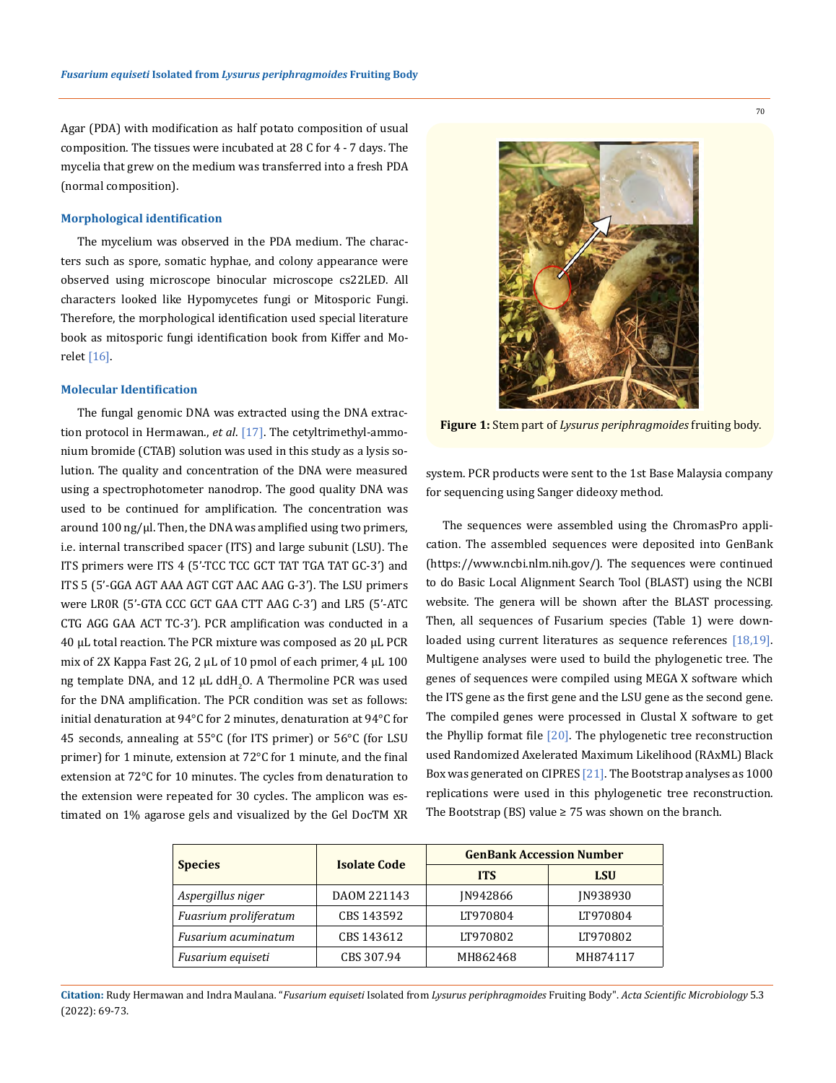Agar (PDA) with modification as half potato composition of usual composition. The tissues were incubated at 28 C for 4 - 7 days. The mycelia that grew on the medium was transferred into a fresh PDA (normal composition).

#### **Morphological identification**

The mycelium was observed in the PDA medium. The characters such as spore, somatic hyphae, and colony appearance were observed using microscope binocular microscope cs22LED. All characters looked like Hypomycetes fungi or Mitosporic Fungi. Therefore, the morphological identification used special literature book as mitosporic fungi identification book from Kiffer and Morelet [16].

#### **Molecular Identification**

The fungal genomic DNA was extracted using the DNA extraction protocol in Hermawan., *et al*. [17]. The cetyltrimethyl-ammonium bromide (CTAB) solution was used in this study as a lysis solution. The quality and concentration of the DNA were measured using a spectrophotometer nanodrop. The good quality DNA was used to be continued for amplification. The concentration was around  $100$  ng/ $\mu$ l. Then, the DNA was amplified using two primers, i.e. internal transcribed spacer (ITS) and large subunit (LSU). The ITS primers were ITS 4 (5'-TCC TCC GCT TAT TGA TAT GC-3') and ITS 5 (5'-GGA AGT AAA AGT CGT AAC AAG G-3'). The LSU primers were LR0R (5'-GTA CCC GCT GAA CTT AAG C-3') and LR5 (5'-ATC CTG AGG GAA ACT TC-3'). PCR amplification was conducted in a 40 μL total reaction. The PCR mixture was composed as 20 μL PCR mix of 2X Kappa Fast 2G, 2 μL of 10 pmol of each primer, 4 μL 100 ng template DNA, and 12  $\mu$ L ddH<sub>2</sub>O. A Thermoline PCR was used for the DNA amplification. The PCR condition was set as follows: initial denaturation at 94°C for 2 minutes, denaturation at 94°C for 45 seconds, annealing at 55°C (for ITS primer) or 56°C (for LSU primer) for 1 minute, extension at 72°C for 1 minute, and the final extension at 72°C for 10 minutes. The cycles from denaturation to the extension were repeated for 30 cycles. The amplicon was estimated on 1% agarose gels and visualized by the Gel DocTM XR



**Figure 1:** Stem part of *Lysurus periphragmoides* fruiting body.

system. PCR products were sent to the 1st Base Malaysia company for sequencing using Sanger dideoxy method.

The sequences were assembled using the ChromasPro application. The assembled sequences were deposited into GenBank [\(https://www.ncbi.nlm.nih.gov/\)](https://www.ncbi.nlm.nih.gov/). The sequences were continued to do Basic Local Alignment Search Tool (BLAST) using the NCBI website. The genera will be shown after the BLAST processing. Then, all sequences of Fusarium species (Table 1) were downloaded using current literatures as sequence references [18,19]. Multigene analyses were used to build the phylogenetic tree. The genes of sequences were compiled using MEGA X software which the ITS gene as the first gene and the LSU gene as the second gene. The compiled genes were processed in Clustal X software to get the Phyllip format file [20]. The phylogenetic tree reconstruction used Randomized Axelerated Maximum Likelihood (RAxML) Black Box was generated on CIPRES [21]. The Bootstrap analyses as 1000 replications were used in this phylogenetic tree reconstruction. The Bootstrap (BS) value  $\geq$  75 was shown on the branch.

| <b>Species</b>        | <b>Isolate Code</b> | <b>GenBank Accession Number</b> |            |
|-----------------------|---------------------|---------------------------------|------------|
|                       |                     | <b>ITS</b>                      | <b>LSU</b> |
| Aspergillus niger     | DAOM 221143         | IN942866                        | IN938930   |
| Fuasrium proliferatum | CBS 143592          | LT970804                        | LT970804   |
| Fusarium acuminatum   | CBS 143612          | LT970802                        | LT970802   |
| Fusarium equiseti     | CBS 307.94          | MH862468                        | MH874117   |

**Citation:** Rudy Hermawan and Indra Maulana*.* "*Fusarium equiseti* Isolated from *Lysurus periphragmoides* Fruiting Body". *Acta Scientific Microbiology* 5.3 (2022): 69-73.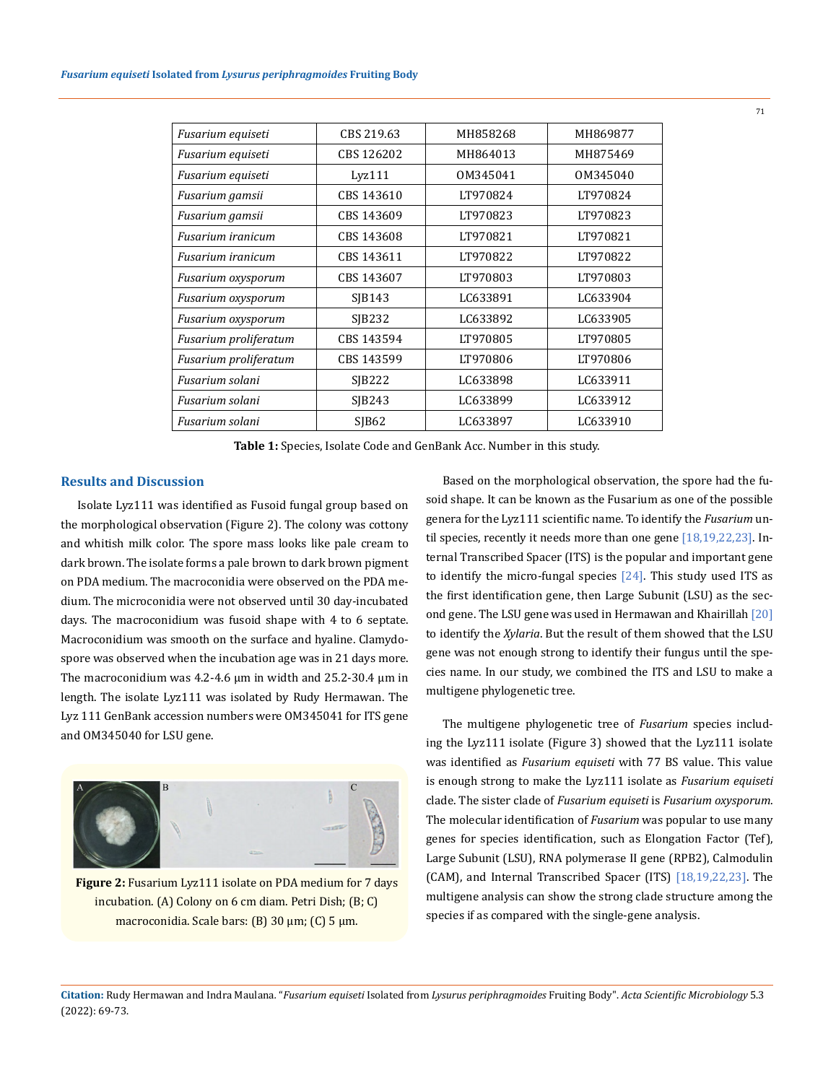| CBS 219.63        | MH858268 | MH869877 |
|-------------------|----------|----------|
| CBS 126202        | MH864013 | MH875469 |
| Lvz111            | OM345041 | OM345040 |
| CBS 143610        | LT970824 | LT970824 |
| CBS 143609        | LT970823 | LT970823 |
| CBS 143608        | LT970821 | LT970821 |
| CBS 143611        | LT970822 | LT970822 |
| CBS 143607        | LT970803 | LT970803 |
| SIB143            | LC633891 | LC633904 |
| <b>SIB232</b>     | LC633892 | LC633905 |
| CBS 143594        | LT970805 | LT970805 |
| CBS 143599        | LT970806 | LT970806 |
| SIB222            | LC633898 | LC633911 |
| SIB243            | LC633899 | LC633912 |
| SIB <sub>62</sub> | LC633897 | LC633910 |
|                   |          |          |

**Table 1:** Species, Isolate Code and GenBank Acc. Number in this study.

## **Results and Discussion**

Isolate Lyz111 was identified as Fusoid fungal group based on the morphological observation (Figure 2). The colony was cottony and whitish milk color. The spore mass looks like pale cream to dark brown. The isolate forms a pale brown to dark brown pigment on PDA medium. The macroconidia were observed on the PDA medium. The microconidia were not observed until 30 day-incubated days. The macroconidium was fusoid shape with 4 to 6 septate. Macroconidium was smooth on the surface and hyaline. Clamydospore was observed when the incubation age was in 21 days more. The macroconidium was  $4.2$ -4.6  $\mu$ m in width and 25.2-30.4  $\mu$ m in length. The isolate Lyz111 was isolated by Rudy Hermawan. The Lyz 111 GenBank accession numbers were OM345041 for ITS gene and OM345040 for LSU gene.



**Figure 2:** Fusarium Lyz111 isolate on PDA medium for 7 days incubation. (A) Colony on 6 cm diam. Petri Dish; (B; C) macroconidia. Scale bars: (B) 30 µm; (C) 5 µm.

Based on the morphological observation, the spore had the fusoid shape. It can be known as the Fusarium as one of the possible genera for the Lyz111 scientific name. To identify the *Fusarium* until species, recently it needs more than one gene [18,19,22,23]. Internal Transcribed Spacer (ITS) is the popular and important gene to identify the micro-fungal species [24]. This study used ITS as the first identification gene, then Large Subunit (LSU) as the second gene. The LSU gene was used in Hermawan and Khairillah [20] to identify the *Xylaria*. But the result of them showed that the LSU gene was not enough strong to identify their fungus until the species name. In our study, we combined the ITS and LSU to make a multigene phylogenetic tree.

The multigene phylogenetic tree of *Fusarium* species including the Lyz111 isolate (Figure 3) showed that the Lyz111 isolate was identified as *Fusarium equiseti* with 77 BS value. This value is enough strong to make the Lyz111 isolate as *Fusarium equiseti* clade. The sister clade of *Fusarium equiseti* is *Fusarium oxysporum*. The molecular identification of *Fusarium* was popular to use many genes for species identification, such as Elongation Factor (Tef), Large Subunit (LSU), RNA polymerase II gene (RPB2), Calmodulin (CAM), and Internal Transcribed Spacer (ITS) [18,19,22,23]. The multigene analysis can show the strong clade structure among the species if as compared with the single-gene analysis.

**Citation:** Rudy Hermawan and Indra Maulana*.* "*Fusarium equiseti* Isolated from *Lysurus periphragmoides* Fruiting Body". *Acta Scientific Microbiology* 5.3 (2022): 69-73.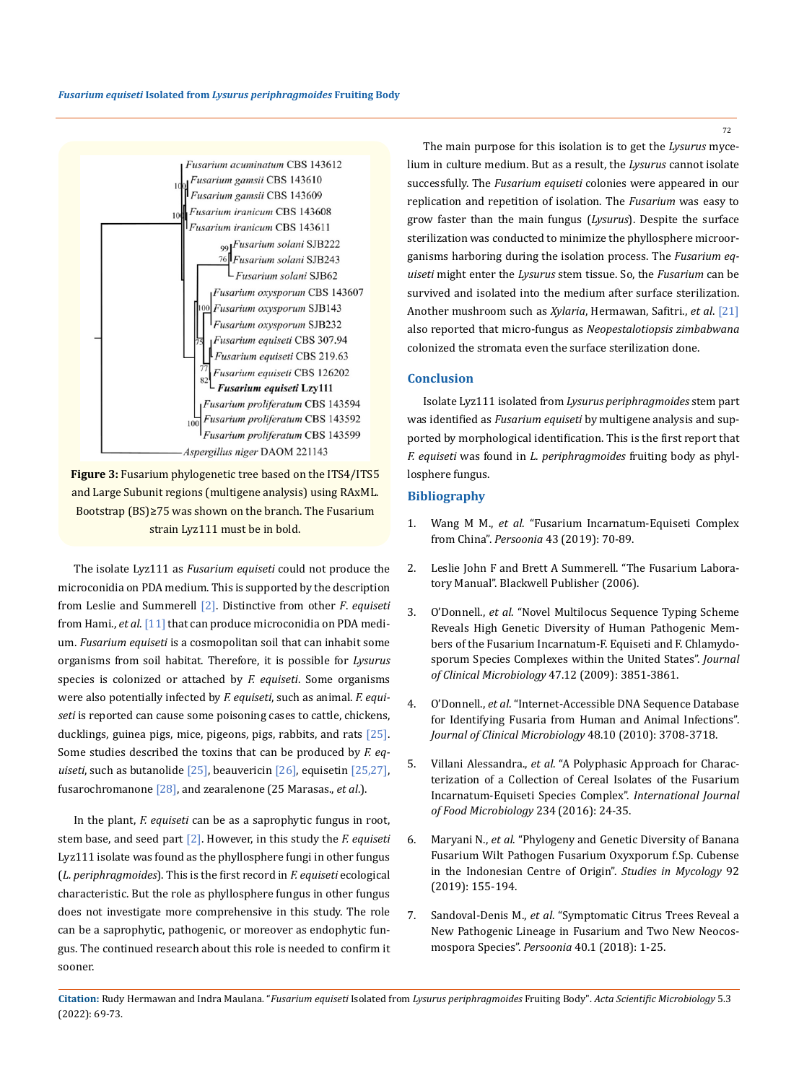



The isolate Lyz111 as *Fusarium equiseti* could not produce the microconidia on PDA medium. This is supported by the description from Leslie and Summerell [2]. Distinctive from other *F*. *equiseti* from Hami., *et al*. [11] that can produce microconidia on PDA medium. *Fusarium equiseti* is a cosmopolitan soil that can inhabit some organisms from soil habitat. Therefore, it is possible for *Lysurus* species is colonized or attached by *F. equiseti*. Some organisms were also potentially infected by *F. equiseti*, such as animal. *F. equiseti* is reported can cause some poisoning cases to cattle, chickens, ducklings, guinea pigs, mice, pigeons, pigs, rabbits, and rats  $[25]$ . Some studies described the toxins that can be produced by *F. equiseti*, such as butanolide [25], beauvericin [26], equisetin [25,27], fusarochromanone [28], and zearalenone (25 Marasas., *et al*.).

In the plant, *F. equiseti* can be as a saprophytic fungus in root, stem base, and seed part [2]. However, in this study the *F. equiseti* Lyz111 isolate was found as the phyllosphere fungi in other fungus (*L. periphragmoides*). This is the first record in *F. equiseti* ecological characteristic. But the role as phyllosphere fungus in other fungus does not investigate more comprehensive in this study. The role can be a saprophytic, pathogenic, or moreover as endophytic fungus. The continued research about this role is needed to confirm it sooner.

The main purpose for this isolation is to get the *Lysurus* mycelium in culture medium. But as a result, the *Lysurus* cannot isolate successfully. The *Fusarium equiseti* colonies were appeared in our replication and repetition of isolation. The *Fusarium* was easy to grow faster than the main fungus (*Lysurus*). Despite the surface sterilization was conducted to minimize the phyllosphere microorganisms harboring during the isolation process. The *Fusarium equiseti* might enter the *Lysurus* stem tissue. So, the *Fusarium* can be survived and isolated into the medium after surface sterilization. Another mushroom such as *Xylaria*, Hermawan, Safitri., *et al*. [21] also reported that micro-fungus as *Neopestalotiopsis zimbabwana* colonized the stromata even the surface sterilization done.

### **Conclusion**

Isolate Lyz111 isolated from *Lysurus periphragmoides* stem part was identified as *Fusarium equiseti* by multigene analysis and supported by morphological identification. This is the first report that *F. equiseti* was found in *L. periphragmoides* fruiting body as phyllosphere fungus.

# **Bibliography**

- 1. Wang M M., *et al*[. "Fusarium Incarnatum-Equiseti Complex](https://www.ingentaconnect.com/content/nhn/pimj/2019/00000043/00000001/art00004;jsessionid=b1nta1feo9qlh.x-ic-live-03)  from China". *Persoonia* [43 \(2019\): 70-89.](https://www.ingentaconnect.com/content/nhn/pimj/2019/00000043/00000001/art00004;jsessionid=b1nta1feo9qlh.x-ic-live-03)
- 2. Leslie John F and Brett A Summerell. "The Fusarium Laboratory Manual". Blackwell Publisher (2006).
- 3. O'Donnell., *et al*[. "Novel Multilocus Sequence Typing Scheme](https://journals.asm.org/doi/10.1128/JCM.01616-09)  [Reveals High Genetic Diversity of Human Pathogenic Mem](https://journals.asm.org/doi/10.1128/JCM.01616-09)[bers of the Fusarium Incarnatum-F. Equiseti and F. Chlamydo](https://journals.asm.org/doi/10.1128/JCM.01616-09)[sporum Species Complexes within the United States".](https://journals.asm.org/doi/10.1128/JCM.01616-09) *Journal of Clinical Microbiology* [47.12 \(2009\): 3851-3861.](https://journals.asm.org/doi/10.1128/JCM.01616-09)
- 4. O'Donnell., *et al*[. "Internet-Accessible DNA Sequence Database](https://journals.asm.org/doi/10.1128/JCM.00989-10)  [for Identifying Fusaria from Human and Animal Infections".](https://journals.asm.org/doi/10.1128/JCM.00989-10)  *[Journal of Clinical Microbiology](https://journals.asm.org/doi/10.1128/JCM.00989-10)* 48.10 (2010): 3708-3718.
- 5. Villani Alessandra., *et al*[. "A Polyphasic Approach for Charac](https://pubmed.ncbi.nlm.nih.gov/27376677/)[terization of a Collection of Cereal Isolates of the Fusarium](https://pubmed.ncbi.nlm.nih.gov/27376677/)  [Incarnatum-Equiseti Species Complex".](https://pubmed.ncbi.nlm.nih.gov/27376677/) *International Journal [of Food Microbiology](https://pubmed.ncbi.nlm.nih.gov/27376677/)* 234 (2016): 24-35.
- 6. Maryani N., *et al*[. "Phylogeny and Genetic Diversity of Banana](https://www.sciencedirect.com/science/article/pii/S0166061618300307)  [Fusarium Wilt Pathogen Fusarium Oxyxporum f.Sp. Cubense](https://www.sciencedirect.com/science/article/pii/S0166061618300307)  [in the Indonesian Centre of Origin".](https://www.sciencedirect.com/science/article/pii/S0166061618300307) *Studies in Mycology* 92 [\(2019\): 155-194.](https://www.sciencedirect.com/science/article/pii/S0166061618300307)
- 7. Sandoval-Denis M., *et al*[. "Symptomatic Citrus Trees Reveal a](https://www.ingentaconnect.com/content/nhn/pimj/2018/00000040/00000001/art00002)  [New Pathogenic Lineage in Fusarium and Two New Neocos](https://www.ingentaconnect.com/content/nhn/pimj/2018/00000040/00000001/art00002)mospora Species". *Persoonia* [40.1 \(2018\): 1-25.](https://www.ingentaconnect.com/content/nhn/pimj/2018/00000040/00000001/art00002)

72

**Citation:** Rudy Hermawan and Indra Maulana*.* "*Fusarium equiseti* Isolated from *Lysurus periphragmoides* Fruiting Body". *Acta Scientific Microbiology* 5.3 (2022): 69-73.